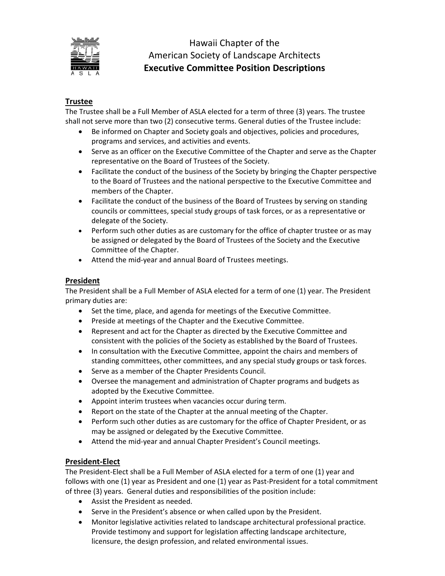

# Hawaii Chapter of the American Society of Landscape Architects **Executive Committee Position Descriptions**

# **Trustee**

The Trustee shall be a Full Member of ASLA elected for a term of three (3) years. The trustee shall not serve more than two (2) consecutive terms. General duties of the Trustee include:

- Be informed on Chapter and Society goals and objectives, policies and procedures, programs and services, and activities and events.
- Serve as an officer on the Executive Committee of the Chapter and serve as the Chapter representative on the Board of Trustees of the Society.
- Facilitate the conduct of the business of the Society by bringing the Chapter perspective to the Board of Trustees and the national perspective to the Executive Committee and members of the Chapter.
- Facilitate the conduct of the business of the Board of Trustees by serving on standing councils or committees, special study groups of task forces, or as a representative or delegate of the Society.
- Perform such other duties as are customary for the office of chapter trustee or as may be assigned or delegated by the Board of Trustees of the Society and the Executive Committee of the Chapter.
- Attend the mid‐year and annual Board of Trustees meetings.

#### **President**

The President shall be a Full Member of ASLA elected for a term of one (1) year. The President primary duties are:

- Set the time, place, and agenda for meetings of the Executive Committee.
- Preside at meetings of the Chapter and the Executive Committee.
- Represent and act for the Chapter as directed by the Executive Committee and consistent with the policies of the Society as established by the Board of Trustees.
- In consultation with the Executive Committee, appoint the chairs and members of standing committees, other committees, and any special study groups or task forces.
- Serve as a member of the Chapter Presidents Council.
- Oversee the management and administration of Chapter programs and budgets as adopted by the Executive Committee.
- Appoint interim trustees when vacancies occur during term.
- Report on the state of the Chapter at the annual meeting of the Chapter.
- Perform such other duties as are customary for the office of Chapter President, or as may be assigned or delegated by the Executive Committee.
- Attend the mid-year and annual Chapter President's Council meetings.

#### **President‐Elect**

The President‐Elect shall be a Full Member of ASLA elected for a term of one (1) year and follows with one (1) year as President and one (1) year as Past‐President for a total commitment of three (3) years. General duties and responsibilities of the position include:

- Assist the President as needed.
- Serve in the President's absence or when called upon by the President.
- Monitor legislative activities related to landscape architectural professional practice. Provide testimony and support for legislation affecting landscape architecture, licensure, the design profession, and related environmental issues.